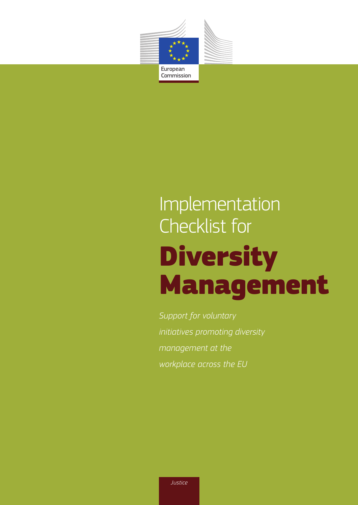

# Implementation Checklist for Diversity Management

*Support for voluntary initiatives promoting diversity management at the workplace across the EU*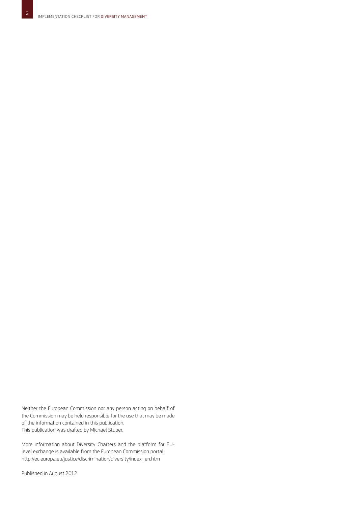Neither the European Commission nor any person acting on behalf of the Commission may be held responsible for the use that may be made of the information contained in this publication. This publication was drafted by Michael Stuber.

More information about Diversity Charters and the platform for EUlevel exchange is available from the European Commission portal: http://ec.europa.eu/justice/discrimination/diversity/index\_en.htm

Published in August 2012.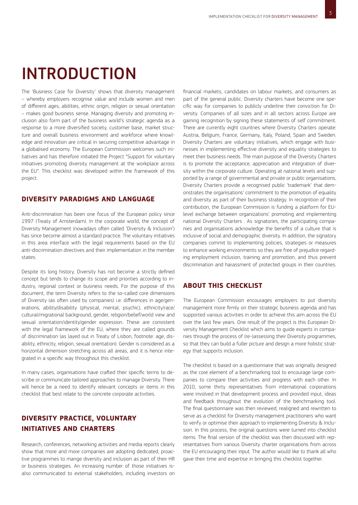3

## INTRODUCTION

The 'Business Case for Diversity' shows that diversity management – whereby employers recognise value and include women and men of different ages, abilities, ethnic origin, religion or sexual orientation – makes good business sense. Managing diversity and promoting inclusion also form part of the business world's strategic agenda as a response to a more diversified society, customer base, market structure and overall business environment and workforce where knowledge and innovation are critical in securing competitive advantage in a globalised economy. The European Commission welcomes such initiatives and has therefore initiated the Project "Support for voluntary initiatives promoting diversity management at the workplace across the EU". This checklist was developed within the framework of this project.

### **DIVERSITY PARADIGMS AND LANGUAGE**

Anti-discrimination has been one focus of the European policy since 1997 (Treaty of Amsterdam). In the corporate world, the concept of Diversity Management (nowadays often called 'Diversity & Inclusion') has since become almost a standard practice. The voluntary initiatives in this area interface with the legal requirements based on the EU anti-discrimination directives and their implementation in the member states.

Despite its long history, Diversity has not become a strictly defined concept but tends to change its scope and priorities according to industry, regional context or business needs. For the purpose of this document, the term Diversity refers to the so-called core dimensions of Diversity (as often used by companies) i.e. differences in age/generations, ability/disability (physical, mental, psychic), ethnicity/race/ cultural/migrational background, gender, religion/belief/world view and sexual orientation/identity/gender expression. These are consistent with the legal framework of the EU, where they are called grounds of discrimination (as layed out in Treaty of Lisbon, footnote: age, disability, ethnicity, religion, sexual orientation). Gender is considered as a horizontal dimension stretching across all areas, and it is hence integrated in a specific way throughout this checklist.

In many cases, organisations have crafted their specific terms to describe or communicate tailored approaches to manage Diversity. There will hence be a need to identify relevant concepts or items in this checklist that best relate to the concrete corporate activities.

### **DIVERSITY PRACTICE, VOLUNTARY INITIATIVES AND CHARTERS**

Research, conferences, networking activities and media reports clearly show that more and more companies are adopting dedicated, proactive programmes to mange diversity and inclusion as part of their HR or business strategies. An increasing number of those initiatives isalso communicated to external stakeholders, including investors on

financial markets, candidates on labour markets, and consumers as part of the general public. Diversity charters have become one specific way for companies to publicly underline their conviction for Diversity. Companies of all sizes and in all sectors across Europe are gaining recognition by signing these statements of self commitment. There are currently eight countries where Diversity Charters operate: Austria, Belgium, France, Germany, Italy, Poland, Spain and Sweden. Diversity Charters are voluntary initiatives, which engage with businesses in implementing effective diversity and equality strategies to meet their business needs. The main purpose of the Diversity Charters is to promote the acceptance, appreciation and integration of diversity within the corporate culture. Operating at national levels and supported by a range of governmental and private or public organisations, Diversity Charters provide a recognised public 'trademark' that demonstrates the organisations' commitment to the promotion of equality and diversity as part of their business strategy. In recognition of their contribution, the European Commission is funding a platform for EUlevel exchange between organizations' promoting and implementing national Diversity Charters . As signatories, the participating companies and organisations acknowledge the benefits of a culture that is inclusive of social and demographic diversity. In addition, the signatory companies commit to implementing policies, strategies or measures to enhance working environments so they are free of prejudice regarding employment inclusion, training and promotion, and thus prevent discrimination and harassment of protected groups in their countries.

### **ABOUT THIS CHECKLIST**

The European Commission encourages employers to put diversity management more firmly on their strategic business agenda and has supported various activities in order to achieve this aim across the EU over the last few years. One result of the project is this European Diversity Management Checklist which aims to guide experts in companies through the process of (re-)assessing their Diversity programmes, so that they can build a fuller picture and design a more holistic strategy that supports inclusion.

The checklist is based on a questionnaire that was originally designed as the core element of a benchmarking tool to encourage large companies to compare their activities and progress with each other. In 2010, some thirty representatives from international corporations were involved in that development process and provided input, ideas and feedback throughout the evolution of the benchmarking tool. The final questionnaire was then reviewed, realigned and rewritten to serve as a checklist for Diversity management practitioners who want to verify or optimise their approach to implementing Diversity & Inclusion. In this process, the original questions were turned into checklist items. The final version of the checklist was then discussed with representatives from various Diversity charter organisations from across the EU encouraging their input. The author would like to thank all who gave their time and expertise in bringing this checklist together.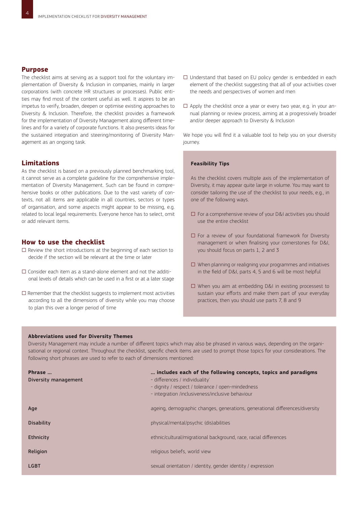### **Purpose**

4

The checklist aims at serving as a support tool for the voluntary implementation of Diversity & Inclusion in companies, mainly in larger corporations (with concrete HR structures or processes). Public entities may find most of the content useful as well. It aspires to be an impetus to verify, broaden, deepen or optimise existing approaches to Diversity & Inclusion. Therefore, the checklist provides a framework for the implementation of Diversity Management along different timelines and for a variety of corporate functions. It also presents ideas for the sustained integration and steering/monitoring of Diversity Management as an ongoing task.

### **Limitations**

As the checklist is based on a previously planned benchmarking tool, it cannot serve as a complete guideline for the comprehensive implementation of Diversity Management. Such can be found in comprehensive books or other publications. Due to the vast variety of contexts, not all items are applicable in all countries, sectors or types of organisation, and some aspects might appear to be missing, e.g. related to local legal requirements. Everyone hence has to select, omit or add relevant items.

### **How to use the checklist**

- $\square$  Review the short introductions at the beginning of each section to decide if the section will be relevant at the time or later
- $\Box$  Consider each item as a stand-alone element and not the additional levels of details which can be used in a first or at a later stage
- $\square$  Remember that the checklist suggests to implement most activities according to all the dimensions of diversity while you may choose to plan this over a longer period of time
- $\square$  Understand that based on EU policy gender is embedded in each element of the checklist suggesting that all of your activities cover the needs and perspectives of women and men
- $\square$  Apply the checklist once a year or every two year, e.g. in your annual planning or review process, aiming at a progressively broader and/or deeper approach to Diversity & Inclusion

We hope you will find it a valuable tool to help you on your diversity journey.

#### **Feasibility Tips**

As the checklist covers multiple axis of the implementation of Diversity, it may appear quite large in volume. You may want to consider tailoring the use of the checklist to your needs, e.g., in one of the following ways.

- $\square$  For a comprehensive review of your D&I activities you should use the entire checklist
- $\square$  For a review of your foundational framework for Diversity management or when finalising your cornerstones for D&I, you should focus on parts 1, 2 and 3
- $\square$  When planning or realigning your programmes and initiatives in the field of D&I, parts 4, 5 and 6 will be most helpful
- □ When you aim at embedding D&I in existing processest to sustain your efforts and make them part of your everyday practices, then you should use parts 7, 8 and 9

#### **Abbreviations used for Diversity Themes**

Diversity Management may include a number of different topics which may also be phrased in various ways, depending on the organisational or regional context. Throughout the checklist, specific check items are used to prompt those topics for your considerations. The following short phrases are used to refer to each of dimensions mentioned:

| Phrase<br>Diversity management | includes each of the following concepts, topics and paradigms<br>- differences / individuality'<br>- dignity / respect / tolerance / open-mindedness<br>- integration /inclusiveness/inclusive behaviour |
|--------------------------------|----------------------------------------------------------------------------------------------------------------------------------------------------------------------------------------------------------|
| Age                            | ageing, demographic changes, generations, generational differences/diversity                                                                                                                             |
| <b>Disability</b>              | physical/mental/psychic (dis)abilities                                                                                                                                                                   |
| <b>Ethnicity</b>               | ethnic/cultural/migrational background, race, racial differences                                                                                                                                         |
| <b>Religion</b>                | religious beliefs, world view                                                                                                                                                                            |
| <b>LGBT</b>                    | sexual orientation / identity, gender identity / expression                                                                                                                                              |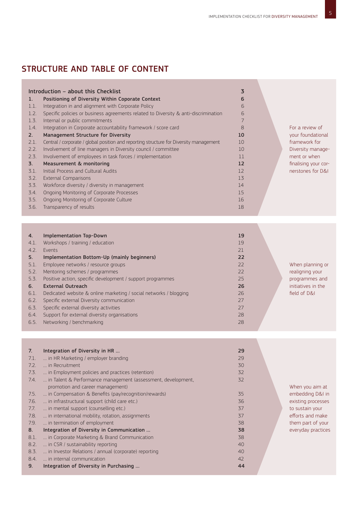### STRUCTURE AND TABLE OF CONTENT

|      | Introduction - about this Checklist                                                    | $\overline{3}$ |
|------|----------------------------------------------------------------------------------------|----------------|
| 1.   | Positioning of Diversity Within Coporate Context                                       | 6              |
| 1.1. | Integration in and alignment with Corporate Policy                                     | 6              |
| 1.2. | Specific policies or business agreements related to Diversity & anti-discrimination    | 6              |
| 1.3. | Internal or public commitments                                                         | 7              |
| 1.4. | Integration in Corporate accountability framework / score card                         | 8              |
| 2.   | <b>Management Structure for Diversity</b>                                              | 10             |
| 2.1. | Central / corporate / global position and reporting structure for Diversity management | 10             |
| 2.2. | Involvement of line managers in Diversity council / committee                          | 10             |
| 2.3. | Involvement of employees in task forces / implementation                               | 11             |
| 3.   | Measurement & monitoring                                                               | 12             |
| 3.1. | Initial Process and Cultural Audits                                                    | 12             |
| 3.2. | External Comparisons                                                                   | 13             |
| 3.3. | Workforce diversity / diversity in management                                          | 14             |
| 3.4. | Ongoing Monitoring of Corporate Processes                                              | 15             |
| 3.5. | Ongoing Monitoring of Corporate Culture                                                | 16             |
| 3.6. | Transparency of results                                                                | 18             |

| Mentoring schemes / programmes | <b>Implementation Top-Down</b><br>Workshops / training / education<br>4.1.<br>Events<br>4.2.<br>Implementation Bottom-Up (mainly beginners)<br>Employee networks / resource groups<br>5.1. | 19<br>19<br>21<br>22 |                                     |
|--------------------------------|--------------------------------------------------------------------------------------------------------------------------------------------------------------------------------------------|----------------------|-------------------------------------|
|                                | 22<br>22                                                                                                                                                                                   |                      | When planning or<br>realigning your |
|                                | Dedicated website & online marketing / social networks / blogging<br>Specific external Diversity communication                                                                             | 26                   | field of D&I                        |
|                                | Specific external diversity activities                                                                                                                                                     | 27                   |                                     |
| 27                             | Support for external diversity organisations<br>Networking / benchmarking                                                                                                                  | 28<br>28             |                                     |

| 7 <sub>1</sub> | Integration of Diversity in HR                               | 29 |
|----------------|--------------------------------------------------------------|----|
| 7.1.           | in HR Marketing / employer branding                          | 29 |
| 7.2.           | in Recruitment                                               | 30 |
| 7.3.           | in Employment policies and practices (retention)             | 32 |
| 7.4.           | in Talent & Performance management (assessment, development, | 32 |
|                | promotion and career management)                             |    |
| 7.5.           | in Compensation & Benefits (pay/recognition/rewards)         | 35 |
| 7.6.           | in infrastructural support (child care etc.)                 | 36 |
| 7.7.           | in mental support (counselling etc.)                         | 37 |
| 7.8.           | in international mobility, rotation, assignments             | 37 |
| 7.9.           | in termination of employment                                 | 38 |
| 8.             | Integration of Diversity in Communication                    | 38 |
| 8.1.           | in Corporate Marketing & Brand Communication                 | 38 |
| 8.2.           | in CSR / sustainability reporting                            | 40 |
| 8.3.           | in Investor Relations / annual (corporate) reporting         | 40 |
| 8.4.           | in internal communication                                    | 42 |
| 9.             | Integration of Diversity in Purchasing                       | 44 |

When you aim at embedding D&I in existing processes to sustain your efforts and make them part of your everyday practices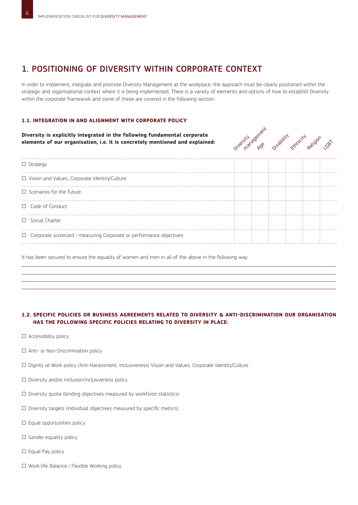### 1. POSITIONING OF DIVERSITY WITHIN CORPORATE CONTEXT

In order to implement, integrate and promote Diversity Management at the workplace, the approach must be clearly positioned within the strategic and organisational context where it is being implemented. There is a variety of elements and options of how to establish Diversity within the corporate framework and some of these are covered in the following section.

### **1.1. Integration in and alignment with Corporate Policy**

**Diversity is explicitly integrated in the following fundamental corporate elements of our organisation, i.e. it is concretely mentioned and explained:**



| $\Box$ Strategy                                                            |  |  |  |
|----------------------------------------------------------------------------|--|--|--|
| $\Box$ Vision and Values, Corporate Identity/Culture                       |  |  |  |
| $\Box$ Scenarios for the future                                            |  |  |  |
| $\Box$ Code of Conduct                                                     |  |  |  |
| $\Box$ Social Charter                                                      |  |  |  |
| $\Box$ Corporate scorecard / measuring Corporate or performance objectives |  |  |  |

It has been secured to ensure the equality of women and men in all of the above in the following way:

### **1.2. Specific policies or business agreements related to Diversity & anti-discrimination Our organisation has the following specific policies relating to Diversity in place:**

- □ Accessibility policy
- □ Anti- or Non-Discrimination policy
- □ Dignity at Work policy (Anti-Harassment, Inclusiveness) Vision and Values, Corporate Identity/Culture
- $\square$  Diversity and/or Inclusion/Inclusiveness policy
- $\square$  Diversity quota (binding objectives measured by workforce statistics)
- $\square$  Diversity targets (individual objectives measured by specific metrics)
- $\square$  Equal opportunities policy
- $\Box$  Gender equality policy
- $\square$  Equal Pay policy
- □ Work-life Balance / Flexible Working policy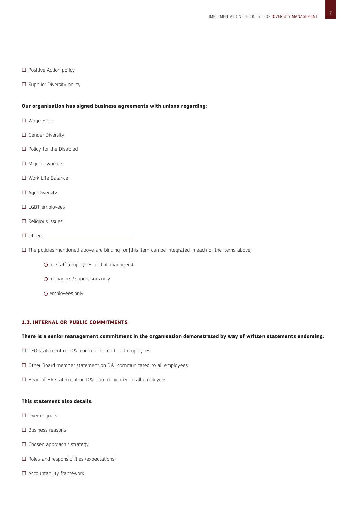7

- □ Positive Action policy
- □ Supplier Diversity policy

#### **Our organisation has signed business agreements with unions regarding:**

- □ Wage Scale
- □ Gender Diversity
- □ Policy for the Disabled
- □ Migrant workers
- □ Work Life Balance
- □ Age Diversity
- □ LGBT employees
- □ Religious issues
- $\Box$  Other:  $\Box$

 $\square$  The policies mentioned above are binding for [this item can be integrated in each of the items above]

- all staff (employees and all managers)
- O managers / supervisors only
- $\Omega$  employees only

### **1.3. Internal or public commitments**

### **There is a senior management commitment in the organisation demonstrated by way of written statements endorsing:**

- □ CEO statement on D&I communicated to all employees
- □ Other Board member statement on D&I communicated to all employees
- □ Head of HR statement on D&I communicated to all employees

### **This statement also details:**

- □ Overall goals
- □ Business reasons
- □ Chosen approach / strategy
- $\square$  Roles and responsibilities (expectations)
- □ Accountability framework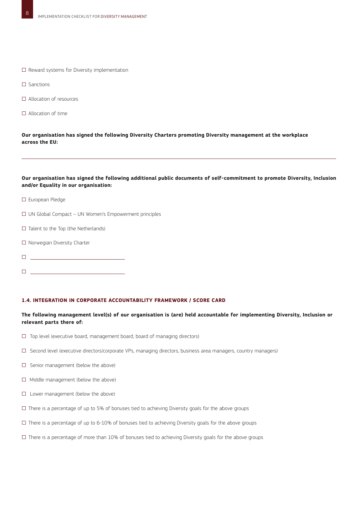- □ Reward systems for Diversity implementation
- □ Sanctions
- □ Allocation of resources
- □ Allocation of time

**Our organisation has signed the following Diversity Charters promoting Diversity management at the workplace across the EU:**

### **Our organisation has signed the following additional public documents of self-commitment to promote Diversity, Inclusion and/or Equality in our organisation:**

- □ European Pledge
- □ UN Global Compact UN Women's Empowerment principles
- $\square$  Talent to the Top (the Netherlands)
- □ Norwegian Diversity Charter
- □

□

### **1.4. Integration in Corporate accountability framework / score card**

### **The following management level(s) of our organisation is (are) held accountable for implementing Diversity, Inclusion or relevant parts there of:**

- $\Box$  Top level (executive board, management board, board of managing directors)
- □ Second level (executive directors/corporate VPs, managing directors, business area managers, country managers)
- □ Senior management (below the above)
- □ Middle management (below the above)
- □ Lower management (below the above)
- $\square$  There is a percentage of up to 5% of bonuses tied to achieving Diversity goals for the above groups
- $\square$  There is a percentage of up to 6-10% of bonuses tied to achieving Diversity goals for the above groups
- $\square$  There is a percentage of more than 10% of bonuses tied to achieving Diversity goals for the above groups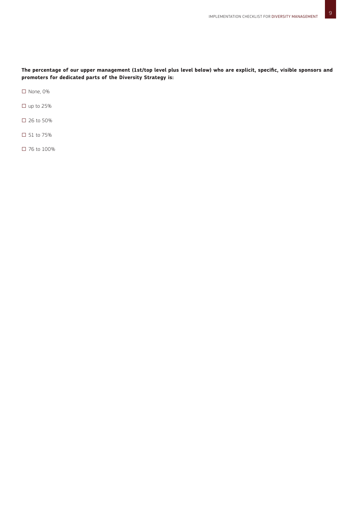**The percentage of our upper management (1st/top level plus level below) who are explicit, specific, visible sponsors and promoters for dedicated parts of the Diversity Strategy is:**

□ None, 0%

- $\square$  up to 25%
- □ 26 to 50%
- □ 51 to 75%
- □ 76 to 100%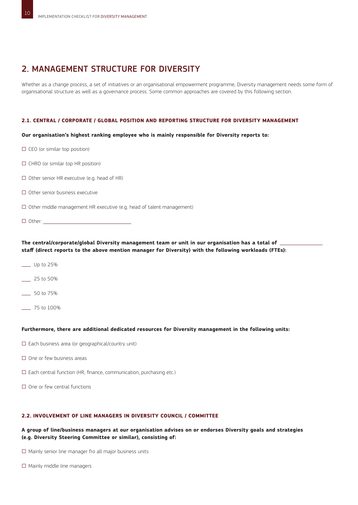### 2. MANAGEMENT STRUCTURE FOR DIVERSITY

Whether as a change process, a set of initiatives or an organisational empowerment programme, Diversity management needs some form of organisational structure as well as a governance process. Some common approaches are covered by this following section.

### **2.1. Central / corporate / global position and reporting structure for Diversity management**

**Our organisation's highest ranking employee who is mainly responsible for Diversity reports to:** 

| $\Box$ CEO (or similar top position)                                         |  |
|------------------------------------------------------------------------------|--|
| $\Box$ CHRO (or similar top HR position)                                     |  |
| $\Box$ Other senior HR executive (e.g. head of HR)                           |  |
| $\Box$ Other senior business executive                                       |  |
| $\Box$ Other middle management HR executive (e.g. head of talent management) |  |
| $\Box$ Other:                                                                |  |

The central/corporate/global Diversity management team or unit in our organisation has a total of **staff (direct reports to the above mention manager for Diversity) with the following workloads (FTEs):**

- \_\_\_ Up to 25%
- \_\_\_ 25 to 50%
- \_\_\_ 50 to 75%
- \_\_\_ 75 to 100%

### **Furthermore, there are additional dedicated resources for Diversity management in the following units:**

- $\square$  Each business area (or geographical/country unit)
- □ One or few business areas
- $\square$  Each central function (HR, finance, communication, purchasing etc.)
- $\Box$  One or few central functions

### **2.2. Involvement of line managers in Diversity council / committee**

**A group of line/business managers at our organisation advises on or endorses Diversity goals and strategies (e.g. Diversity Steering Committee or similar), consisting of:**

 $\square$  Mainly senior line manager fro all major business units

 $\square$  Mainly middle line managers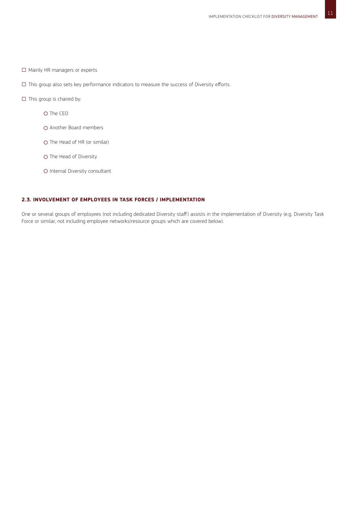- □ Mainly HR managers or experts
- □ This group also sets key performance indicators to measure the success of Diversity efforts.
- $\square$  This group is chaired by:
	- O The CEO
	- Another Board members
	- O The Head of HR (or similar)
	- O The Head of Diversity
	- O Internal Diversity consultant

### **2.3. Involvement of employees in task forces / implementation**

One or several groups of employees (not including dedicated Diversity staff) assists in the implementation of Diversity (e.g. Diversity Task Force or similar, not including employee networks/resource groups which are covered below).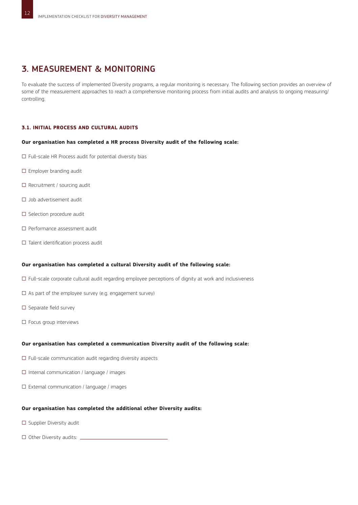### 3. MEASUREMENT & MONITORING

To evaluate the success of implemented Diversity programs, a regular monitoring is necessary. The following section provides an overview of some of the measurement approaches to reach a comprehensive monitoring process from initial audits and analysis to ongoing measuring/ controlling.

### **3.1. Initial Process and Cultural Audits**

### **Our organisation has completed a HR process Diversity audit of the following scale:**

- $\square$  Full-scale HR Process audit for potential diversity bias
- □ Employer branding audit
- $\square$  Recruitment / sourcing audit
- □ Job advertisement audit
- □ Selection procedure audit
- □ Performance assessment audit
- □ Talent identification process audit

### **Our organisation has completed a cultural Diversity audit of the following scale:**

- □ Full-scale corporate cultural audit regarding employee perceptions of dignity at work and inclusiveness
- $\square$  As part of the employee survey (e.g. engagement survey)
- □ Separate field survey
- □ Focus group interviews

### **Our organisation has completed a communication Diversity audit of the following scale:**

- $\square$  Full-scale communication audit regarding diversity aspects
- $\square$  Internal communication / language / images
- $\square$  External communication / language / images

### **Our organisation has completed the additional other Diversity audits:**

- □ Supplier Diversity audit
- □ Other Diversity audits: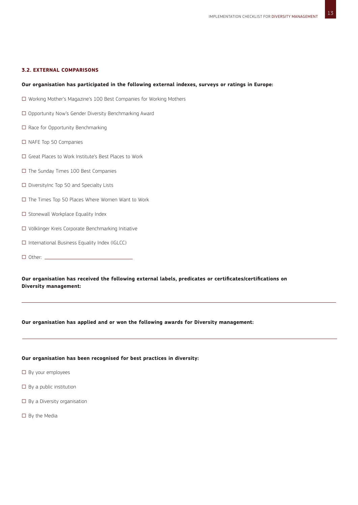### **3.2. External Comparisons**

### **Our organisation has participated in the following external indexes, surveys or ratings in Europe:**

- □ Working Mother's Magazine's 100 Best Companies for Working Mothers
- □ Opportunity Now's Gender Diversity Benchmarking Award
- □ Race for Opportunity Benchmarking
- □ NAFE Top 50 Companies
- □ Great Places to Work Institute's Best Places to Work
- □ The Sunday Times 100 Best Companies
- □ DiversityInc Top 50 and Specialty Lists
- □ The Times Top 50 Places Where Women Want to Work
- □ Stonewall Workplace Equality Index
- □ Völklinger Kreis Corporate Benchmarking Initiative
- □ International Business Equality Index (IGLCC)
- □ Other:

**Our organisation has received the following external labels, predicates or certificates/certifications on Diversity management:** 

#### **Our organisation has applied and or won the following awards for Diversity management:**

### **Our organisation has been recognised for best practices in diversity:**

- □ By your employees
- $\square$  By a public institution
- $\Box$  By a Diversity organisation
- $\square$  By the Media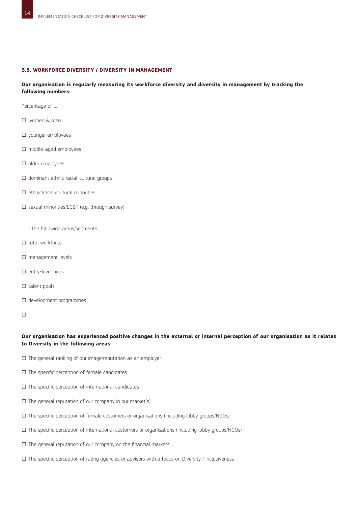### **3.3. Workforce diversity / diversity in management**

**Our organisation is regularly measuring its workforce diversity and diversity in management by tracking the following numbers:** 

Percentage of …

- □ women & men
- □ younger employees
- □ middle-aged employees
- □ older employees
- □ dominant ethnic-racial-cultural groups
- $\Box$  ethnic/racial/cultural minorities
- □ sexual minorities/LGBT (e.g. through survey)
- … in the following areas/segments …
- $\Box$  total workforce
- □ management levels
- □ entry-level hires
- $\square$  talent pools
- □ development programmes
- □

### **Our organisation has experienced positive changes in the external or internal perception of our organisation as it relates to Diversity in the following areas:**

- $\square$  The general ranking of our image/reputation as an employer
- $\square$  The specific perception of female candidates
- $\square$  The specific perception of international candidates
- $\square$  The general reputation of our company in our market(s)
- □ The specific perception of female customers or organisations (including lobby groups/NGOs)
- □ The specific perception of international customers or organisations (including lobby groups/NGOs)
- $\square$  The general reputation of our company on the financial markets
- $\square$  The specific perception of rating agencies or advisors with a focus on Diversity / Inclusiveness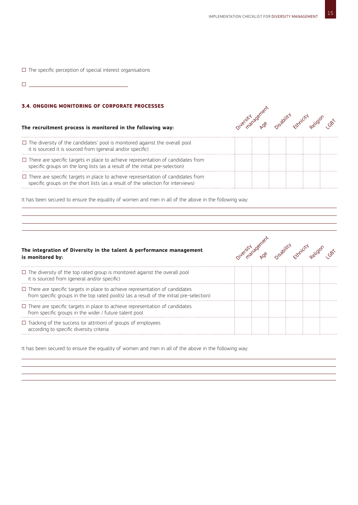$\square$  The specific perception of special interest organisations

□

Ċ,

### **3.4. Ongoing Monitoring of Corporate Processes**

### **The recruitment process is monitored in the following way:**



| $\Box$ The diversity of the candidates' pool is monitored against the overall pool<br>it is sourced it is sourced from (general and/or specific)                            |  |  |  |
|-----------------------------------------------------------------------------------------------------------------------------------------------------------------------------|--|--|--|
| $\Box$ There are specific targets in place to achieve representation of candidates from<br>specific groups on the long lists (as a result of the initial pre-selection)     |  |  |  |
| $\Box$ There are specific targets in place to achieve representation of candidates from<br>specific groups on the short lists (as a result of the selection for interviews) |  |  |  |

It has been secured to ensure the equality of women and men in all of the above in the following way:

### **The integration of Diversity in the talent & performance management is monitored by:**



| $\Box$ The diversity of the top rated group is monitored against the overall pool<br>it is sourced from (general and/or specific)                                              |  |  |  |
|--------------------------------------------------------------------------------------------------------------------------------------------------------------------------------|--|--|--|
| $\Box$ There are specific targets in place to achieve representation of candidates<br>from specific groups in the top rated pool(s) (as a result of the initial pre-selection) |  |  |  |
| $\Box$ There are specific targets in place to achieve representation of candidates<br>from specific groups in the wider / future talent pool                                   |  |  |  |
| $\Box$ Tracking of the success (or attrition) of groups of employees<br>according to specific diversity criteria                                                               |  |  |  |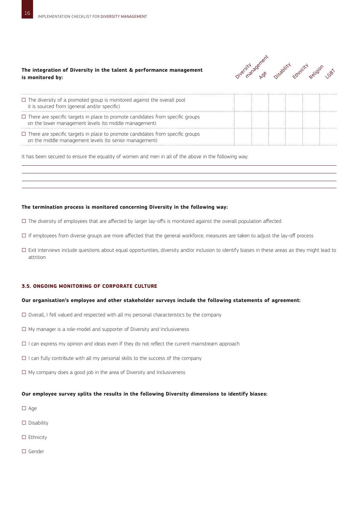### **The integration of Diversity in the talent & performance management is monitored by:**



| $\Box$ The diversity of a promoted group is monitored against the overall pool<br>it is sourced from (general and/or specific)                     |  |  |  |
|----------------------------------------------------------------------------------------------------------------------------------------------------|--|--|--|
| $\square$ There are specific targets in place to promote candidates from specific groups<br>on the lower management levels (to middle management)  |  |  |  |
| $\square$ There are specific targets in place to promote candidates from specific groups<br>on the middle management levels (to senior management) |  |  |  |

It has been secured to ensure the equality of women and men in all of the above in the following way:

### **The termination process is monitored concerning Diversity in the following way:**

- □ The diversity of employees that are affected by larger lay-offs is monitored against the overall population affected
- $\square$  If employees from diverse groups are more affected that the general workforce, measures are taken to adjust the lay-off process
- □ Exit interviews include questions about equal opportunities, diversity and/or inclusion to identify biases in these areas as they might lead to attrition

### **3.5. Ongoing Monitoring of Corporate Culture**

#### **Our organisation's employee and other stakeholder surveys include the following statements of agreement:**

- $\square$  Overall, I fell valued and respected with all my personal characteristics by the company
- $\square$  My manager is a role-model and supporter of Diversity and Inclusiveness
- $\Box$  I can express my opinion and ideas even if they do not reflect the current mainstream approach
- $\square$  I can fully contribute with all my personal skills to the success of the company
- $\square$  My company does a good job in the area of Diversity and Inclusiveness

### **Our employee survey splits the results in the following Diversity dimensions to identify biases:**

- □ Age
- □ Disability
- □ Ethnicity
- □ Gender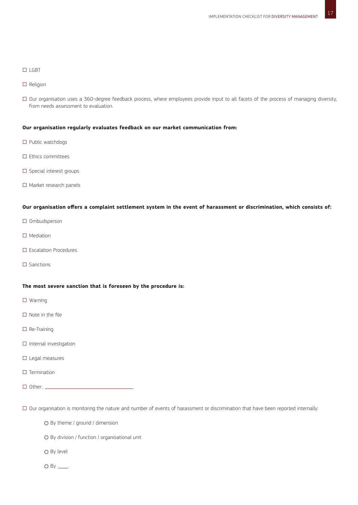17

### □ lgbt

- □ Religion
- □ Our organisation uses a 360-degree feedback process, where employees provide input to all facets of the process of managing diversity, from needs assessment to evaluation.

### **Our organisation regularly evaluates feedback on our market communication from:**

- □ Public watchdogs
- □ Ethics committees
- □ Special interest groups
- □ Market research panels

### **Our organisation offers a complaint settlement system in the event of harassment or discrimination, which consists of:**

- □ Ombudsperson
- □ Mediation
- □ Escalation Procedures
- □ Sanctions

### **The most severe sanction that is foreseen by the procedure is:**

- □ Warning
- □ Note in the file
- □ Re-Training
- □ Internal investigation
- □ Legal measures
- $\Box$  Termination
- □ Other: <u>\_\_\_\_\_</u>

□ Our organisation is monitoring the nature and number of events of harassment or discrimination that have been reported internally:

- O By theme / ground / dimension
- By division / function / organisational unit
- $\Omega$  By level
- $O$  By  $\frac{1}{2}$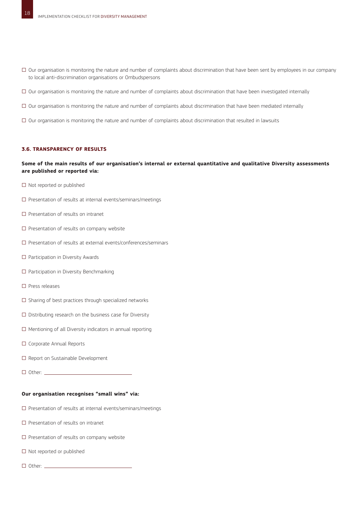- □ Our organisation is monitoring the nature and number of complaints about discrimination that have been sent by employees in our company to local anti-discrimination organisations or Ombudspersons
- □ Our organisation is monitoring the nature and number of complaints about discrimination that have been investigated internally
- $\square$  Our organisation is monitoring the nature and number of complaints about discrimination that have been mediated internally
- □ Our organisation is monitoring the nature and number of complaints about discrimination that resulted in lawsuits

### **3.6. Transparency of results**

### **Some of the main results of our organisation's internal or external quantitative and qualitative Diversity assessments are published or reported via:**

- □ Not reported or published
- □ Presentation of results at internal events/seminars/meetings
- □ Presentation of results on intranet
- □ Presentation of results on company website
- □ Presentation of results at external events/conferences/seminars
- □ Participation in Diversity Awards
- □ Participation in Diversity Benchmarking
- □ Press releases
- $\square$  Sharing of best practices through specialized networks
- $\square$  Distributing research on the business case for Diversity
- $\square$  Mentioning of all Diversity indicators in annual reporting
- □ Corporate Annual Reports
- □ Report on Sustainable Development
- □ Other:

### **Our organisation recognises "small wins" via:**

- □ Presentation of results at internal events/seminars/meetings
- □ Presentation of results on intranet
- □ Presentation of results on company website
- □ Not reported or published
- □ Other: <u>\_\_\_\_</u>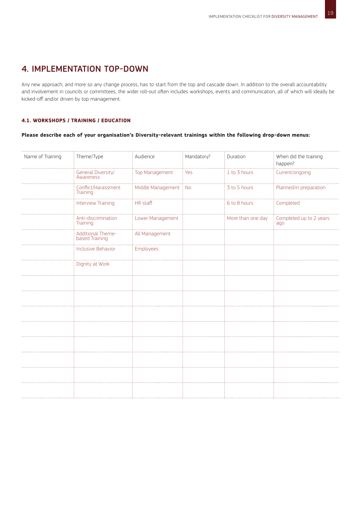### 4. IMPLEMENTATION TOP-DOWN

Any new approach, and more so any change process, has to start from the top and cascade down. In addition to the overall accountability and involvement in councils or committees, the wider roll-out often includes workshops, events and communication, all of which will ideally be kicked-off and/or driven by top management.

### **4.1. Workshops / training / education**

### **Please describe each of your organisation's Diversity-relevant trainings within the following drop-down menus:**

| 1 to 3 hours<br>Current/ongoing<br>General Diversity/<br>Top Management<br>Yes<br>Awareness<br>3 to 5 hours<br>Middle Management : No<br>Planned/in preparation<br>Conflict/Harassment<br>Training<br><b>HR</b> staff<br>6 to 8 hours<br>Completed<br><b>Interview Training</b><br>Lower Management<br>More than one day<br>Completed up to 2 years<br>Anti-discrimination<br>Training<br>ago | Name of Training | Theme/Type                          | Audience       | Mandatory? | Duration | When did the training<br>happen? |
|-----------------------------------------------------------------------------------------------------------------------------------------------------------------------------------------------------------------------------------------------------------------------------------------------------------------------------------------------------------------------------------------------|------------------|-------------------------------------|----------------|------------|----------|----------------------------------|
|                                                                                                                                                                                                                                                                                                                                                                                               |                  |                                     |                |            |          |                                  |
|                                                                                                                                                                                                                                                                                                                                                                                               |                  |                                     |                |            |          |                                  |
|                                                                                                                                                                                                                                                                                                                                                                                               |                  |                                     |                |            |          |                                  |
|                                                                                                                                                                                                                                                                                                                                                                                               |                  |                                     |                |            |          |                                  |
|                                                                                                                                                                                                                                                                                                                                                                                               |                  | Additional Theme-<br>based Training | All Management |            |          |                                  |
| Inclusive Behavior<br>Employees                                                                                                                                                                                                                                                                                                                                                               |                  |                                     |                |            |          |                                  |
| Dignity at Work                                                                                                                                                                                                                                                                                                                                                                               |                  |                                     |                |            |          |                                  |
|                                                                                                                                                                                                                                                                                                                                                                                               |                  |                                     |                |            |          |                                  |
|                                                                                                                                                                                                                                                                                                                                                                                               |                  |                                     |                |            |          |                                  |
|                                                                                                                                                                                                                                                                                                                                                                                               |                  |                                     |                |            |          |                                  |
|                                                                                                                                                                                                                                                                                                                                                                                               |                  |                                     |                |            |          |                                  |
|                                                                                                                                                                                                                                                                                                                                                                                               |                  |                                     |                |            |          |                                  |
|                                                                                                                                                                                                                                                                                                                                                                                               |                  |                                     |                |            |          |                                  |
|                                                                                                                                                                                                                                                                                                                                                                                               |                  |                                     |                |            |          |                                  |
|                                                                                                                                                                                                                                                                                                                                                                                               |                  |                                     |                |            |          |                                  |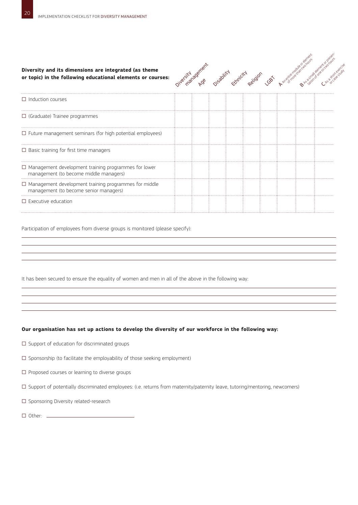| Diversity and its dimensions are integrated (as theme<br>or topic) in the following educational elements or courses: | oiversity agences or solitive curricity agilable cab |  |  |  |  |
|----------------------------------------------------------------------------------------------------------------------|------------------------------------------------------|--|--|--|--|
| $\Box$ Induction courses                                                                                             |                                                      |  |  |  |  |
| $\Box$ (Graduate) Trainee programmes                                                                                 |                                                      |  |  |  |  |
| $\Box$ Future management seminars (for high potential employees)                                                     |                                                      |  |  |  |  |
| $\Box$ Basic training for first time managers                                                                        |                                                      |  |  |  |  |
| $\Box$ Management development training programmes for lower<br>management (to become middle managers)                |                                                      |  |  |  |  |
| $\Box$ Management development training programmes for middle<br>management (to become senior managers)               |                                                      |  |  |  |  |
| $\Box$ Executive education                                                                                           |                                                      |  |  |  |  |

Participation of employees from diverse groups is monitored (please specify):

It has been secured to ensure the equality of women and men in all of the above in the following way:

### **Our organisation has set up actions to develop the diversity of our workforce in the following way:**

- $\square$  Support of education for discriminated groups
- $\square$  Sponsorship (to facilitate the employability of those seeking employment)
- □ Proposed courses or learning to diverse groups
- □ Support of potentially discriminated employees: (i.e. returns from maternity/paternity leave, tutoring/mentoring, newcomers)
- □ Sponsoring Diversity related-research
- □ Other: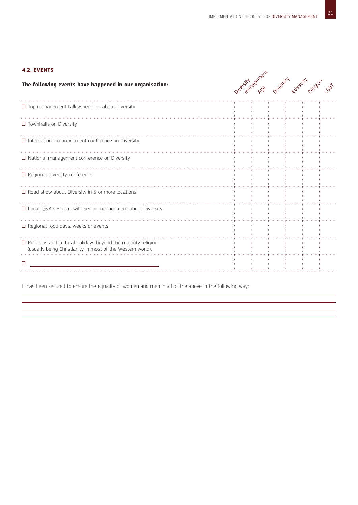### **4.2. Events**

| The following events have happened in our organisation:                                                                           | Oiversidre Ase Ossability cityricity Religion Last |  |  |  |
|-----------------------------------------------------------------------------------------------------------------------------------|----------------------------------------------------|--|--|--|
| $\Box$ Top management talks/speeches about Diversity                                                                              |                                                    |  |  |  |
| $\Box$ Townhalls on Diversity                                                                                                     |                                                    |  |  |  |
| $\Box$ International management conference on Diversity                                                                           |                                                    |  |  |  |
| $\Box$ National management conference on Diversity                                                                                |                                                    |  |  |  |
| $\Box$ Regional Diversity conference                                                                                              |                                                    |  |  |  |
| $\Box$ Road show about Diversity in 5 or more locations                                                                           |                                                    |  |  |  |
| $\Box$ Local Q&A sessions with senior management about Diversity                                                                  |                                                    |  |  |  |
| $\Box$ Regional food days, weeks or events                                                                                        |                                                    |  |  |  |
| $\Box$ Religious and cultural holidays beyond the majority religion<br>(usually being Christianity in most of the Western world). |                                                    |  |  |  |
| $\Box$                                                                                                                            |                                                    |  |  |  |
|                                                                                                                                   |                                                    |  |  |  |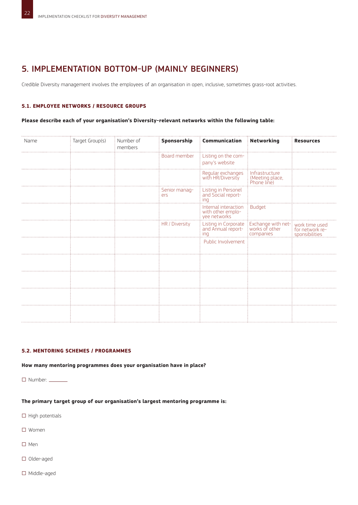### 5. IMPLEMENTATION BOTTOM-UP (MAINLY BEGINNERS)

Credible Diversity management involves the employees of an organisation in open, inclusive, sometimes grass-root activities.

### **5.1. Employee networks / resource groups**

### **Please describe each of your organisation's Diversity-relevant networks within the following table:**

| Name | Target Group(s) | Number of<br>members | Sponsorship          | <b>Communication</b>                                                                                                        | Networking                                           | <b>Resources</b> |
|------|-----------------|----------------------|----------------------|-----------------------------------------------------------------------------------------------------------------------------|------------------------------------------------------|------------------|
|      |                 |                      | Board member         | Listing on the com-<br>pany's website                                                                                       |                                                      |                  |
|      |                 |                      |                      | Regular exchanges<br>with HR/Diversity                                                                                      | Infrastructure<br>: (Meeting place,<br>: Phone line) |                  |
|      |                 |                      | Senior manag-<br>ers | Listing in Personel<br>and Social report-<br>ing                                                                            |                                                      |                  |
|      |                 |                      |                      | Internal interaction<br>with other emplo-<br>yee networks                                                                   | <b>Budget</b>                                        |                  |
|      |                 |                      | HR / Diversity       | Listing in Corporate : Exchange with net-: work time used<br>and Annual report- : works of other : : for network re-<br>ing | companies                                            | sponsibilities   |
|      |                 |                      |                      | Public Involvement                                                                                                          |                                                      |                  |
|      |                 |                      |                      |                                                                                                                             |                                                      |                  |
|      |                 |                      |                      |                                                                                                                             |                                                      |                  |
|      |                 |                      |                      |                                                                                                                             |                                                      |                  |
|      |                 |                      |                      |                                                                                                                             |                                                      |                  |

### **5.2. Mentoring schemes / programmes**

**How many mentoring programmes does your organisation have in place?**

□ Number:

**The primary target group of our organisation's largest mentoring programme is:**

- $\square$  High potentials
- □ Women
- □ Men
- □ Older-aged
- □ Middle-aged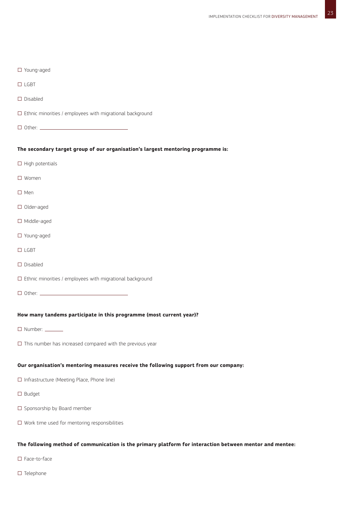| $\Box$ Young-aged                                                                                        |
|----------------------------------------------------------------------------------------------------------|
| $\Box$ LGBT                                                                                              |
| $\square$ Disabled                                                                                       |
| $\Box$ Ethnic minorities / employees with migrational background                                         |
|                                                                                                          |
| The secondary target group of our organisation's largest mentoring programme is:                         |
| $\Box$ High potentials                                                                                   |
| $\square$ Women                                                                                          |
| $\Box$ Men                                                                                               |
| $\Box$ Older-aged                                                                                        |
| $\Box$ Middle-aged                                                                                       |
| $\Box$ Young-aged                                                                                        |
| $\Box$ LGBT                                                                                              |
| $\square$ Disabled                                                                                       |
| $\square$ Ethnic minorities / employees with migrational background                                      |
|                                                                                                          |
| How many tandems participate in this programme (most current year)?                                      |
| $\Box$ Number: $\_\_$                                                                                    |
| $\Box$ This number has increased compared with the previous year                                         |
|                                                                                                          |
| Our organisation's mentoring measures receive the following support from our company:                    |
| $\Box$ Infrastructure (Meeting Place, Phone line)                                                        |
| $\square$ Budget                                                                                         |
| $\square$ Sponsorship by Board member                                                                    |
| $\square$ Work time used for mentoring responsibilities                                                  |
| The following method of communication is the primary platform for interaction between mentor and mentee: |

- □ Face-to-face
- □ Telephone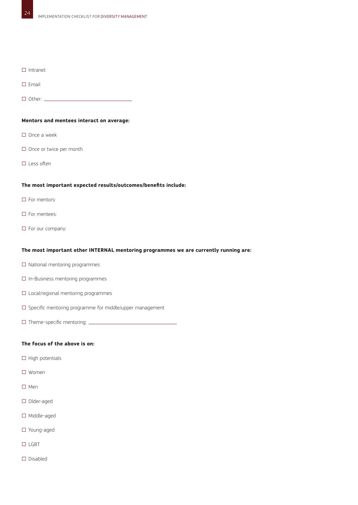### □ Intranet

- □ Email
- □ Other: <u></u>

### **Mentors and mentees interact on average:**

- □ Once a week
- □ Once or twice per month
- □ Less often

#### **The most important expected results/outcomes/benefits include:**

- □ For mentors:
- □ For mentees:
- □ For our company:

### **The most important other INTERNAL mentoring programmes we are currently running are:**

- □ National mentoring programmes
- □ In-Business mentoring programmes
- □ Local/regional mentoring programmes
- $\square$  Specific mentoring programme for middle/upper management
- $\square$  Theme-specific mentoring:  $\square$

### **The focus of the above is on:**

- $\square$  High potentials
- □ Women
- □ Men
- □ Older-aged
- □ Middle-aged
- □ Young-aged
- $\Box$  LGBT
- □ Disabled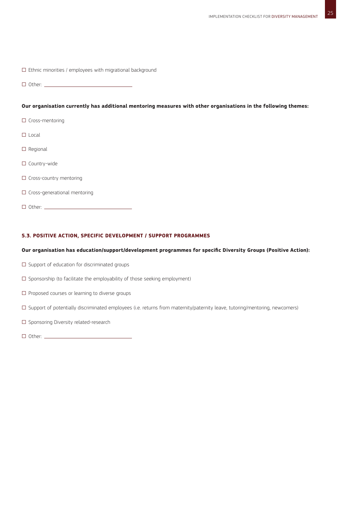|  |  |  |  | $\Box$ Ethnic minorities / employees with migrational background |  |
|--|--|--|--|------------------------------------------------------------------|--|
|--|--|--|--|------------------------------------------------------------------|--|

□ Other:

### **Our organisation currently has additional mentoring measures with other organisations in the following themes:**

- □ Cross-mentoring
- □ Local
- □ Regional
- □ Country-wide
- □ Cross-country mentoring
- □ Cross-generational mentoring
- □ Other:

### **5.3. Positive action, specific development / support programmes**

### **Our organisation has education/support/development programmes for specific Diversity Groups (Positive Action):**

- $\square$  Support of education for discriminated groups
- □ Sponsorship (to facilitate the employability of those seeking employment)
- □ Proposed courses or learning to diverse groups
- □ Support of potentially discriminated employees (i.e. returns from maternity/paternity leave, tutoring/mentoring, newcomers)
- □ Sponsoring Diversity related-research
- □ Other: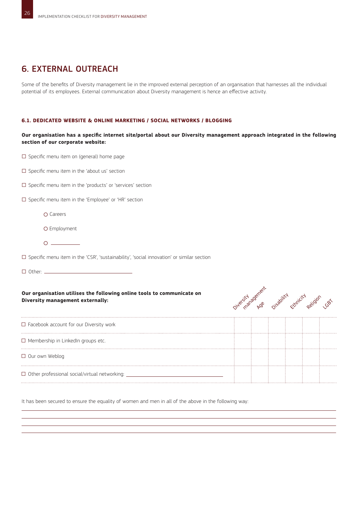### 6. EXTERNAL OUTREACH

Some of the benefits of Diversity management lie in the improved external perception of an organisation that harnesses all the individual potential of its employees. External communication about Diversity management is hence an effective activity.

### **6.1. Dedicated website & online marketing / social networks / blogging**

**Our organisation has a specific internet site/portal about our Diversity management approach integrated in the following section of our corporate website:** 

□ Specific menu item on (general) home page

- □ Specific menu item in the 'about us' section
- □ Specific menu item in the 'products' or 'services' section
- □ Specific menu item in the 'Employee' or 'HR' section
	- Careers
	- O Employment
	- $\begin{array}{c}\n0 \end{array}$
- □ Specific menu item in the 'CSR', 'sustainability', 'social innovation' or similar section

□ Other:

### **Our organisation utilises the following online tools to communicate on Diversity management externally:**



| $\Box$ Facebook account for our Diversity work       |  |  |  |
|------------------------------------------------------|--|--|--|
| $\square$ Membership in LinkedIn groups etc.         |  |  |  |
| $\Box$ Our own Weblog                                |  |  |  |
| $\Box$ Other professional social/virtual networking: |  |  |  |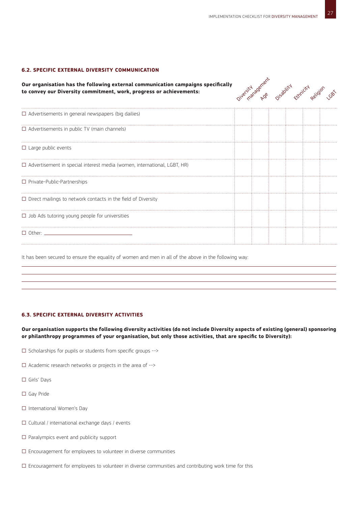### **6.2. Specific external Diversity communication**

**Our organisation has the following external communication campaigns specifically to convey our Diversity commitment, work, progress or achievements:**



| $\Box$ Advertisements in general newspapers (big dailies)                       |  |  |  |
|---------------------------------------------------------------------------------|--|--|--|
| $\Box$ Advertisements in public TV (main channels)                              |  |  |  |
| $\Box$ Large public events                                                      |  |  |  |
| $\Box$ Advertisement in special interest media (women, international, LGBT, HR) |  |  |  |
| $\Box$ Private-Public-Partnerships                                              |  |  |  |
| $\Box$ Direct mailings to network contacts in the field of Diversity            |  |  |  |
| $\Box$ Job Ads tutoring young people for universities                           |  |  |  |
| $\Box$ Other: $\_\_\_\_\_\_\_\_\_\_\_\_\_\_\_\_\_\_\_$                          |  |  |  |
|                                                                                 |  |  |  |

It has been secured to ensure the equality of women and men in all of the above in the following way:

### **6.3. Specific external diversity activities**

**Our organisation supports the following diversity activities (do not include Diversity aspects of existing (general) sponsoring or philanthropy programmes of your organisation, but only those activities, that are specific to Diversity):**

- □ Scholarships for pupils or students from specific groups -->
- $\square$  Academic research networks or projects in the area of  $\rightarrow$
- □ Girls' Days
- □ Gay Pride
- □ International Women's Day
- $\Box$  Cultural / international exchange days / events
- $\square$  Paralympics event and publicity support
- $\square$  Encouragement for employees to volunteer in diverse communities
- □ Encouragement for employees to volunteer in diverse communities and contributing work time for this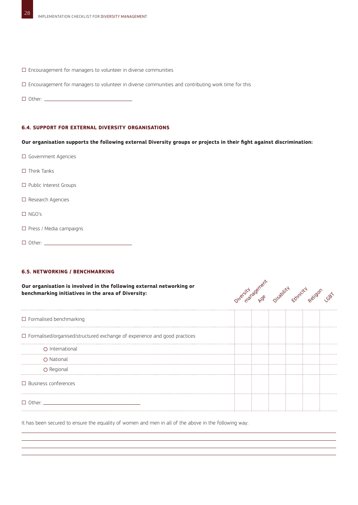- $\square$  Encouragement for managers to volunteer in diverse communities
- □ Encouragement for managers to volunteer in diverse communities and contributing work time for this
- □ Other:

### **6.4. Support for external diversity organisations**

### **Our organisation supports the following external Diversity groups or projects in their fight against discrimination:**

- □ Government Agencies  $\Box$  Think Tanks □ Public Interest Groups □ Research Agencies □ NGO's □ Press / Media campaigns
- □ Other:

### **6.5. Networking / benchmarking**

**Our organisation is involved in the following external networking or benchmarking initiatives in the area of Diversity:**



| $\Box$ Formalised benchmarking                                                   |  |  |  |
|----------------------------------------------------------------------------------|--|--|--|
| $\Box$ Formalised/organised/structured exchange of experience and good practices |  |  |  |
| O International                                                                  |  |  |  |
| O National                                                                       |  |  |  |
| O Regional                                                                       |  |  |  |
| $\Box$ Business conferences                                                      |  |  |  |
| $\Box$ Other: $\_\_$                                                             |  |  |  |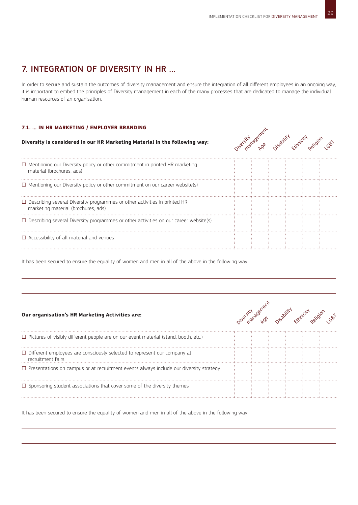### 7. INTEGRATION OF DIVERSITY IN HR …

In order to secure and sustain the outcomes of diversity management and ensure the integration of all different employees in an ongoing way, it is important to embed the principles of Diversity management in each of the many processes that are dedicated to manage the individual human resources of an organisation.

### **7.1. … in HR Marketing / employer branding**

### **Diversity is considered in our HR Marketing Material in the following way:**



| $\Box$ Mentioning our Diversity policy or other commitment in printed HR marketing<br>material (brochures, ads)         |  |  |  |
|-------------------------------------------------------------------------------------------------------------------------|--|--|--|
| $\Box$ Mentioning our Diversity policy or other commitment on our career website(s)                                     |  |  |  |
| $\Box$ Describing several Diversity programmes or other activities in printed HR<br>marketing material (brochures, ads) |  |  |  |
| $\Box$ Describing several Diversity programmes or other activities on our career website(s)                             |  |  |  |
| $\Box$ Accessibility of all material and venues                                                                         |  |  |  |
|                                                                                                                         |  |  |  |

It has been secured to ensure the equality of women and men in all of the above in the following way:

### **Our organisation's HR Marketing Activities are:**



| $\Box$ Pictures of visibly different people are on our event material (stand, booth, etc.)           |  |  |  |
|------------------------------------------------------------------------------------------------------|--|--|--|
| $\Box$ Different employees are consciously selected to represent our company at<br>recruitment fairs |  |  |  |
| $\Box$ Presentations on campus or at recruitment events always include our diversity strategy        |  |  |  |
| $\Box$ Sponsoring student associations that cover some of the diversity themes                       |  |  |  |
|                                                                                                      |  |  |  |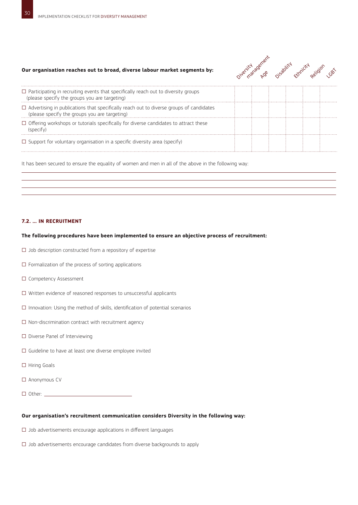### **Our organisation reaches out to broad, diverse labour market segments by:**



It has been secured to ensure the equality of women and men in all of the above in the following way:

### **7.2. … in Recruitment**

#### **The following procedures have been implemented to ensure an objective process of recruitment:**

- $\square$  Job description constructed from a repository of expertise
- $\square$  Formalization of the process of sorting applications
- □ Competency Assessment
- □ Written evidence of reasoned responses to unsuccessful applicants
- $\square$  Innovation: Using the method of skills, identification of potential scenarios
- $\square$  Non-discrimination contract with recruitment agency
- □ Diverse Panel of Interviewing
- $\square$  Guideline to have at least one diverse employee invited
- □ Hiring Goals
- $\Box$  Anonymous CV
- □ Other:

### **Our organisation's recruitment communication considers Diversity in the following way:**

- $\square$  Job advertisements encourage applications in different languages
- $\square$  Job advertisements encourage candidates from diverse backgrounds to apply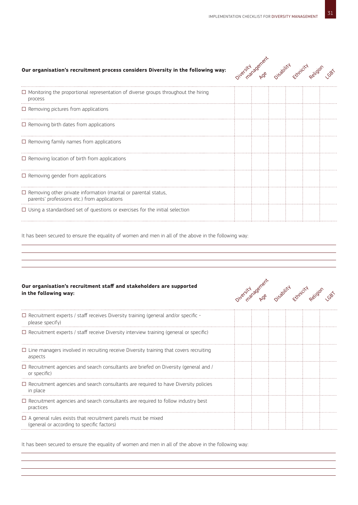### **Our organisation's recruitment process considers Diversity in the following way:**

| Jule Statagement | Disability | Ethnicity |          |      |
|------------------|------------|-----------|----------|------|
|                  |            |           | Religion | 1087 |
|                  |            |           |          |      |

| $\Box$ Monitoring the proportional representation of diverse groups throughout the hiring<br>process                   |  |  |  |
|------------------------------------------------------------------------------------------------------------------------|--|--|--|
| $\Box$ Removing pictures from applications                                                                             |  |  |  |
| $\Box$ Removing birth dates from applications                                                                          |  |  |  |
| $\Box$ Removing family names from applications                                                                         |  |  |  |
| $\Box$ Removing location of birth from applications                                                                    |  |  |  |
| $\Box$ Removing gender from applications                                                                               |  |  |  |
| $\Box$ Removing other private information (marital or parental status,<br>parents' professions etc.) from applications |  |  |  |
| $\Box$ Using a standardised set of questions or exercises for the initial selection                                    |  |  |  |
|                                                                                                                        |  |  |  |

It has been secured to ensure the equality of women and men in all of the above in the following way:

### **Our organisation's recruitment staff and stakeholders are supported in the following way:**



| $\Box$ Recruitment experts / staff receives Diversity training (general and/or specific -<br>please specify)      |  |  |  |
|-------------------------------------------------------------------------------------------------------------------|--|--|--|
| $\Box$ Recruitment experts / staff receive Diversity interview training (general or specific)                     |  |  |  |
| $\Box$ Line managers involved in recruiting receive Diversity training that covers recruiting<br>aspects          |  |  |  |
| $\Box$ Recruitment agencies and search consultants are briefed on Diversity (general and /<br>or specific)        |  |  |  |
| $\Box$ Recruitment agencies and search consultants are required to have Diversity policies<br>in place            |  |  |  |
| $\Box$ Recruitment agencies and search consultants are required to follow industry best<br>practices              |  |  |  |
| $\Box$ A general rules exists that recruitment panels must be mixed<br>(general or according to specific factors) |  |  |  |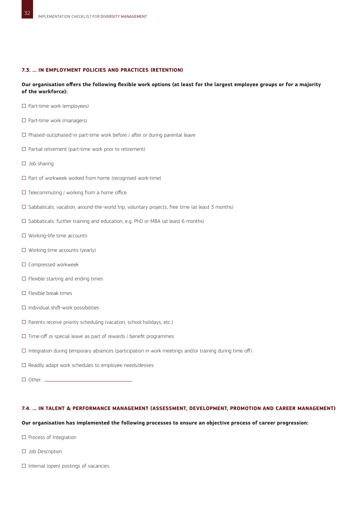### **7.3. … in Employment policies and practices (retention)**

### **Our organisation offers the following flexible work options (at least for the largest employee groups or for a majority of the workforce):**

- □ Part-time work (employees)
- □ Part-time work (managers)
- $\square$  Phased-out/phased-in part-time work before / after or during parental leave
- $\square$  Partial retirement (part-time work prior to retirement)
- □ Job sharing
- □ Part of workweek worked from home (recognised work-time)
- $\square$  Telecommuting / working from a home office
- □ Sabbaticals: vacation, around-the-world trip, voluntary projects, free time (at least 3 months)
- □ Sabbaticals: further training and education, e.g. PhD or MBA (at least 6 months)
- □ Working-life time accounts
- □ Working time accounts (yearly)
- □ Compressed workweek
- $\square$  Flexible starting and ending times
- $\Box$  Flexible break times
- □ Individual shift-work possibilities
- □ Parents receive priority scheduling (vacation, school holidays, etc.)
- $\square$  Time-off or special leave as part of rewards / benefit programmes
- □ Integration during temporary absences (participation in work meetings and/or training during time off)
- $\square$  Readily adapt work schedules to employee needs/desires
- □ Other:

### **7.4. … in Talent & Performance management (assessment, development, promotion and career management)**

### **Our organisation has implemented the following processes to ensure an objective process of career progression:**

- □ Process of Integration
- □ Job Description
- $\square$  Internal (open) postings of vacancies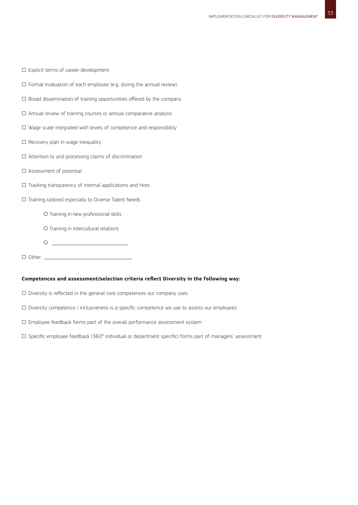- □ Explicit terms of career development
- $\square$  Formal evaluation of each employee (e.g. during the annual review)
- $\square$  Broad dissemination of training opportunities offered by the company
- $\square$  Annual review of training courses or annual comparative analysis
- $\square$  Wage scale integrated with levels of competence and responsibility
- $\square$  Recovery plan in wage inequality
- $\square$  Attention to and processing claims of discrimination
- □ Assessment of potential
- $\square$  Tracking transparency of internal applications and hires
- □ Training tailored especially to Diverse Talent Needs
	- O Training in new professional skills
	- O Training in intercultural relations
	- $\begin{picture}(180,10) \put(0,0){\line(1,0){10}} \put(10,0){\line(1,0){10}} \put(10,0){\line(1,0){10}} \put(10,0){\line(1,0){10}} \put(10,0){\line(1,0){10}} \put(10,0){\line(1,0){10}} \put(10,0){\line(1,0){10}} \put(10,0){\line(1,0){10}} \put(10,0){\line(1,0){10}} \put(10,0){\line(1,0){10}} \put(10,0){\line(1,0){10}} \put(10,0){\line($
- □ Other: <u></u>

### **Competences and assessment/selection criteria reflect Diversity in the following way:**

- $\square$  Diversity is reflected in the general core competences our company uses
- $\square$  Diversity competence / inclusiveness is a specific competence we use to assess our employees
- □ Employee feedback forms part of the overall performance assessment system
- □ Specific employee feedback (360° individual or department specific) forms part of managers' assessment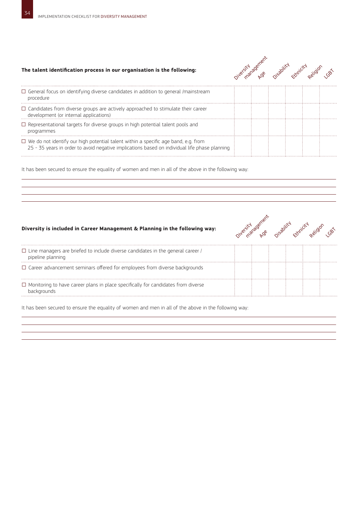### **The talent identification process in our organisation is the following:**



| $\Box$ General focus on identifying diverse candidates in addition to general /mainstream<br>procedure                                                                                     |  |  |  |
|--------------------------------------------------------------------------------------------------------------------------------------------------------------------------------------------|--|--|--|
| $\Box$ Candidates from diverse groups are actively approached to stimulate their career<br>development (or internal applications)                                                          |  |  |  |
| $\Box$ Representational targets for diverse groups in high potential talent pools and<br>programmes                                                                                        |  |  |  |
| $\Box$ We do not identify our high potential talent within a specific age band, e.g. from<br>25 - 35 years in order to avoid negative implications based on individual life phase planning |  |  |  |

It has been secured to ensure the equality of women and men in all of the above in the following way:

### **Diversity is included in Career Management & Planning in the following way:**



| $\Box$ Line managers are briefed to include diverse candidates in the general career /<br>pipeline planning |  |  |  |
|-------------------------------------------------------------------------------------------------------------|--|--|--|
| $\Box$ Career advancement seminars offered for employees from diverse backgrounds                           |  |  |  |
| $\Box$ Monitoring to have career plans in place specifically for candidates from diverse<br>backgrounds     |  |  |  |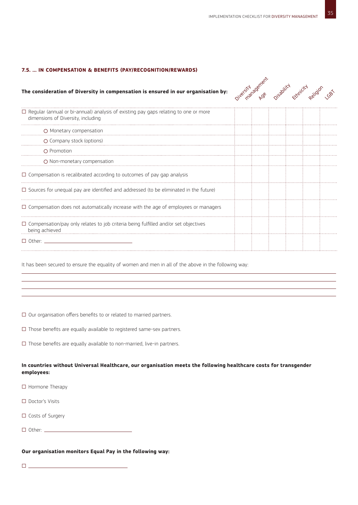### **7.5. … in Compensation & Benefits (pay/recognition/rewards)**

### **The consideration of Diversity in compensation is ensured in our organisation by:**



| $\Box$ Regular (annual or bi-annual) analysis of existing pay gaps relating to one or more<br>dimensions of Diversity, including |  |  |  |
|----------------------------------------------------------------------------------------------------------------------------------|--|--|--|
| O Monetary compensation                                                                                                          |  |  |  |
| O Company stock (options)                                                                                                        |  |  |  |
| O Promotion                                                                                                                      |  |  |  |
| O Non-monetary compensation                                                                                                      |  |  |  |
| $\Box$ Compensation is recalibrated according to outcomes of pay gap analysis                                                    |  |  |  |
| $\Box$ Sources for unequal pay are identified and addressed (to be eliminated in the future)                                     |  |  |  |
| $\Box$ Compensation does not automatically increase with the age of employees or managers                                        |  |  |  |
| $\Box$ Compensation/pay only relates to job criteria being fulfilled and/or set objectives<br>being achieved                     |  |  |  |
| $\Box$ Other: $\Box$                                                                                                             |  |  |  |

It has been secured to ensure the equality of women and men in all of the above in the following way:

□ Our organisation offers benefits to or related to married partners.

□ Those benefits are equally available to registered same-sex partners.

 $\square$  Those benefits are equally available to non-married, live-in partners.

### **In countries without Universal Healthcare, our organisation meets the following healthcare costs for transgender employees:**

□ Hormone Therapy

- □ Doctor's Visits
- □ Costs of Surgery
- □ Other: <u>\_\_\_\_\_\_\_\_\_\_</u>

### **Our organisation monitors Equal Pay in the following way:**

**ロ \_\_\_\_\_\_\_\_\_\_\_\_\_\_\_\_\_\_\_\_\_\_\_\_\_\_\_\_\_\_\_\_\_\_\_**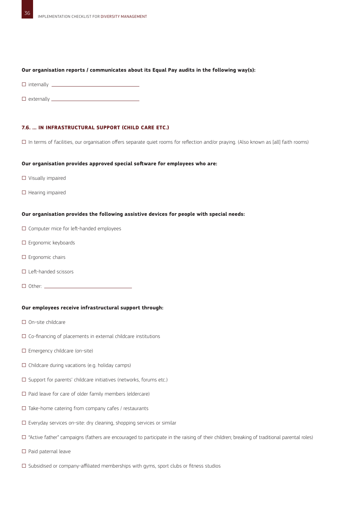### **Our organisation reports / communicates about its Equal Pay audits in the following way(s):**

- □ internally <u>\_\_\_\_\_\_\_\_\_\_\_\_\_\_\_\_\_\_\_\_</u>\_\_\_\_\_\_
- □ externally <u>\_\_\_\_\_\_\_\_\_\_\_\_</u>

### **7.6. … in infrastructural support (child care etc.)**

□ In terms of facilities, our organisation offers separate quiet rooms for reflection and/or praying. (Also known as [all] faith rooms)

### **Our organisation provides approved special software for employees who are:**

- □ Visually impaired
- □ Hearing impaired

### **Our organisation provides the following assistive devices for people with special needs:**

- □ Computer mice for left-handed employees
- □ Ergonomic keyboards
- □ Ergonomic chairs
- □ Left-handed scissors
- □ Other:

### **Our employees receive infrastructural support through:**

- □ On-site childcare
- $\square$  Co-financing of placements in external childcare institutions
- □ Emergency childcare (on-site)
- $\square$  Childcare during vacations (e.g. holiday camps)
- □ Support for parents' childcare initiatives (networks, forums etc.)
- $\square$  Paid leave for care of older family members (eldercare)
- $\square$  Take-home catering from company cafes / restaurants
- □ Everyday services on-site: dry cleaning, shopping services or similar
- □ "Active father" campaigns (fathers are encouraged to participate in the raising of their children; breaking of traditional parental roles)
- $\Box$  Paid paternal leave
- $\square$  Subsidised or company-affiliated memberships with gyms, sport clubs or fitness studios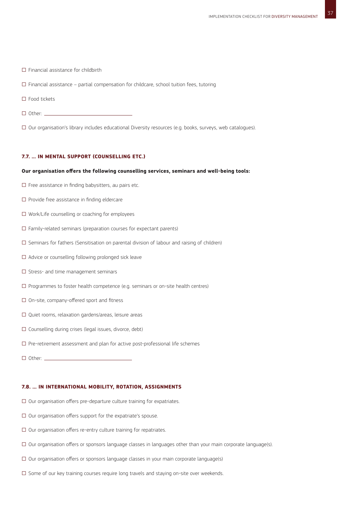- □ Financial assistance for childbirth
- $\square$  Financial assistance partial compensation for childcare, school tuition fees, tutoring
- □ Food tickets
- □ Other: <u>\_\_\_\_\_</u>

□ Our organisation's library includes educational Diversity resources (e.g. books, surveys, web catalogues).

### **7.7. … in mental support (counselling etc.)**

#### **Our organisation offers the following counselling services, seminars and well-being tools:**

- $\square$  Free assistance in finding babysitters, au pairs etc.
- □ Provide free assistance in finding eldercare
- □ Work/Life counselling or coaching for employees
- $\square$  Family-related seminars (preparation courses for expectant parents)
- $\square$  Seminars for fathers (Sensitisation on parental division of labour and raising of children)
- □ Advice or counselling following prolonged sick leave
- □ Stress- and time management seminars
- $\square$  Programmes to foster health competence (e.g. seminars or on-site health centres)
- □ On-site, company-offered sport and fitness
- □ Quiet rooms, relaxation gardens/areas, leisure areas
- □ Counselling during crises (legal issues, divorce, debt)
- $\square$  Pre-retirement assessment and plan for active post-professional life schemes
- □ Other: <u>\_\_\_\_\_\_\_</u>

### **7.8. … in international mobility, rotation, assignments**

- $\square$  Our organisation offers pre-departure culture training for expatriates.
- $\square$  Our organisation offers support for the expatriate's spouse.
- $\square$  Our organisation offers re-entry culture training for repatriates.
- □ Our organisation offers or sponsors language classes in languages other than your main corporate language(s).
- $\square$  Our organisation offers or sponsors language classes in your main corporate language(s)
- $\square$  Some of our key training courses require long travels and staying on-site over weekends.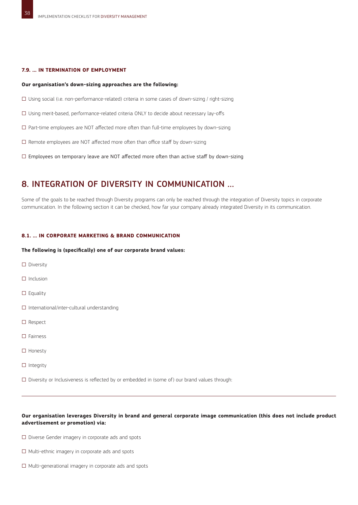### **7.9. … in termination of employment**

### **Our organisation's down-sizing approaches are the following:**

- □ Using social (i.e. non-performance-related) criteria in some cases of down-sizing / right-sizing
- □ Using merit-based, performance-related criteria ONLY to decide about necessary lay-offs
- □ Part-time employees are NOT affected more often than full-time employees by down-sizing
- $\square$  Remote employees are NOT affected more often than office staff by down-sizing
- $\square$  Employees on temporary leave are NOT affected more often than active staff by down-sizing

### 8. INTEGRATION OF DIVERSITY IN COMMUNICATION …

Some of the goals to be reached through Diversity programs can only be reached through the integration of Diversity topics in corporate communication. In the following section it can be checked, how far your company already integrated Diversity in its communication.

#### **8.1. … in Corporate Marketing & Brand Communication**

#### **The following is (specifically) one of our corporate brand values:**

- □ Diversity
- □ Inclusion
- $\Box$  Equality
- □ International/inter-cultural understanding
- □ Respect
- □ Fairness
- □ Honesty
- □ Integrity

 $\square$  Diversity or Inclusiveness is reflected by or embedded in (some of) our brand values through:

### **Our organisation leverages Diversity in brand and general corporate image communication (this does not include product advertisement or promotion) via:**

- □ Diverse Gender imagery in corporate ads and spots
- □ Multi-ethnic imagery in corporate ads and spots
- □ Multi-generational imagery in corporate ads and spots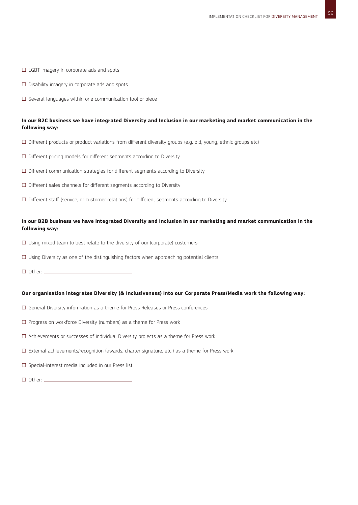- □ LGBT imagery in corporate ads and spots
- $\square$  Disability imagery in corporate ads and spots
- □ Several languages within one communication tool or piece

### **In our B2C business we have integrated Diversity and Inclusion in our marketing and market communication in the following way:**

- □ Different products or product variations from different diversity groups (e.g. old, young, ethnic groups etc)
- $\square$  Different pricing models for different segments according to Diversity
- □ Different communication strategies for different segments according to Diversity
- $\square$  Different sales channels for different segments according to Diversity
- □ Different staff (service, or customer relations) for different segments according to Diversity

### **In our B2B business we have integrated Diversity and Inclusion in our marketing and market communication in the following way:**

- $\square$  Using mixed team to best relate to the diversity of our (corporate) customers
- $\square$  Using Diversity as one of the distinguishing factors when approaching potential clients
- □ Other: <u>\_\_\_\_\_\_\_\_\_</u>

### **Our organisation integrates Diversity (& Inclusiveness) into our Corporate Press/Media work the following way:**

- $\square$  General Diversity information as a theme for Press Releases or Press conferences
- $\square$  Progress on workforce Diversity (numbers) as a theme for Press work
- $\square$  Achievements or successes of individual Diversity projects as a theme for Press work
- □ External achievements/recognition (awards, charter signature, etc.) as a theme for Press work
- □ Special-interest media included in our Press list
- □ Other: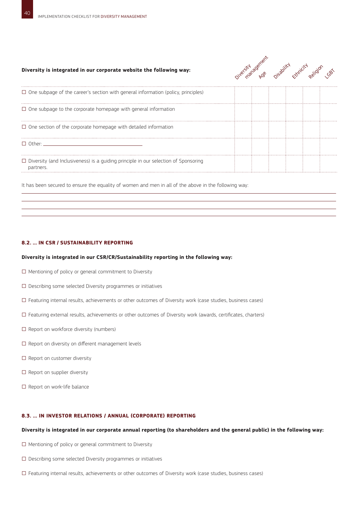#### **Diversity is integrated in our corporate website the following way:**



| $\Box$ One subpage of the career's section with general information (policy, principles)                |  |  |  |
|---------------------------------------------------------------------------------------------------------|--|--|--|
| $\Box$ One subpage to the corporate homepage with general information                                   |  |  |  |
| $\Box$ One section of the corporate homepage with detailed information                                  |  |  |  |
| $\Box$ Other                                                                                            |  |  |  |
| $\Box$ Diversity (and Inclusiveness) is a guiding principle in our selection of Sponsoring<br>partners. |  |  |  |
|                                                                                                         |  |  |  |

It has been secured to ensure the equality of women and men in all of the above in the following way:

### **8.2. … in CSR / sustainability reporting**

### **Diversity is integrated in our CSR/CR/Sustainability reporting in the following way:**

- $\square$  Mentioning of policy or general commitment to Diversity
- □ Describing some selected Diversity programmes or initiatives
- □ Featuring internal results, achievements or other outcomes of Diversity work (case studies, business cases)
- □ Featuring external results, achievements or other outcomes of Diversity work (awards, certificates, charters)
- □ Report on workforce diversity (numbers)
- □ Report on diversity on different management levels
- □ Report on customer diversity
- □ Report on supplier diversity
- □ Report on work-life balance

### **8.3. … in Investor Relations / annual (corporate) reporting**

### **Diversity is integrated in our corporate annual reporting (to shareholders and the general public) in the following way:**

- $\square$  Mentioning of policy or general commitment to Diversity
- $\square$  Describing some selected Diversity programmes or initiatives
- □ Featuring internal results, achievements or other outcomes of Diversity work (case studies, business cases)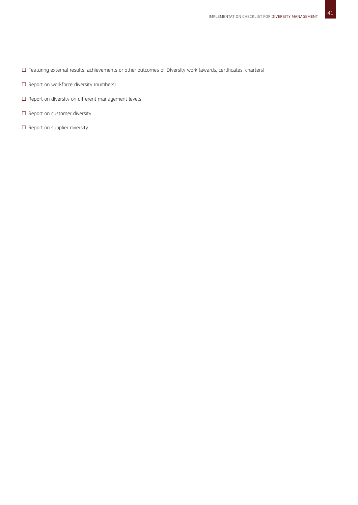- □ Featuring external results, achievements or other outcomes of Diversity work (awards, certificates, charters)
- □ Report on workforce diversity (numbers)
- □ Report on diversity on different management levels
- $\square$  Report on customer diversity
- □ Report on supplier diversity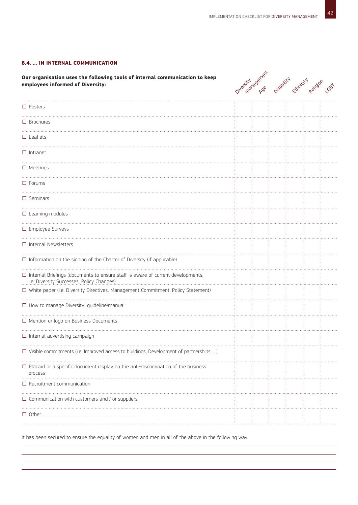### **8.4. … in internal communication**

**Our organisation uses the following tools of internal communication to keep employees informed of Diversity:**



| $\square$ Posters                                                                                                                      |  |  |  |
|----------------------------------------------------------------------------------------------------------------------------------------|--|--|--|
| $\square$ Brochures                                                                                                                    |  |  |  |
| $\square$ Leaflets                                                                                                                     |  |  |  |
| $\Box$ Intranet                                                                                                                        |  |  |  |
| $\Box$ Meetings                                                                                                                        |  |  |  |
| $\square$ Forums                                                                                                                       |  |  |  |
| $\square$ Seminars<br>.                                                                                                                |  |  |  |
| $\square$ Learning modules                                                                                                             |  |  |  |
| □ Employee Surveys                                                                                                                     |  |  |  |
| $\Box$ Internal Newsletters                                                                                                            |  |  |  |
| $\Box$ Information on the signing of the Charter of Diversity (if applicable)                                                          |  |  |  |
| $\square$ Internal Briefings (documents to ensure staff is aware of current developments,<br>i.e. Diversity Successes, Policy Changes) |  |  |  |
| □ White paper (i.e. Diversity Directives, Management Commitment, Policy Statement)                                                     |  |  |  |
| $\Box$ How to manage Diversity' guideline/manual                                                                                       |  |  |  |
| □ Mention or logo on Business Documents                                                                                                |  |  |  |
| $\Box$ Internal advertising campaign                                                                                                   |  |  |  |
| $\Box$ Visible commitments (i.e. Improved access to buildings, Development of partnerships, )                                          |  |  |  |
| $\Box$ Placard or a specific document display on the anti-discrimination of the business<br>process                                    |  |  |  |
| $\Box$ Recruitment communication                                                                                                       |  |  |  |
| $\square$ Communication with customers and / or suppliers                                                                              |  |  |  |
| $\Box$ Other:                                                                                                                          |  |  |  |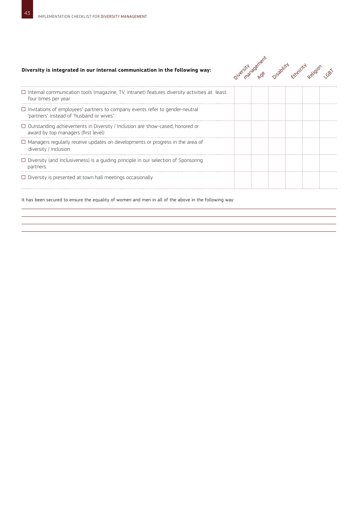### **Diversity is integrated in our internal communication in the following way:**



| $\Box$ Internal communication tools (magazine, TV, intranet) features diversity activities at least<br>four times per year      |  |  |  |
|---------------------------------------------------------------------------------------------------------------------------------|--|--|--|
| $\Box$ Invitations of employees' partners to company events refer to gender-neutral<br>'partners' instead of 'husband or wives' |  |  |  |
| $\Box$ Outstanding achievements in Diversity / Inclusion are show-cased, honored or<br>award by top managers (first level)      |  |  |  |
| $\Box$ Managers regularly receive updates on developments or progress in the area of<br>diversity / inclusion                   |  |  |  |
| $\Box$ Diversity (and Inclusiveness) is a quiding principle in our selection of Sponsoring<br>partners.                         |  |  |  |
| $\Box$ Diversity is presented at town hall meetings occasionally                                                                |  |  |  |
|                                                                                                                                 |  |  |  |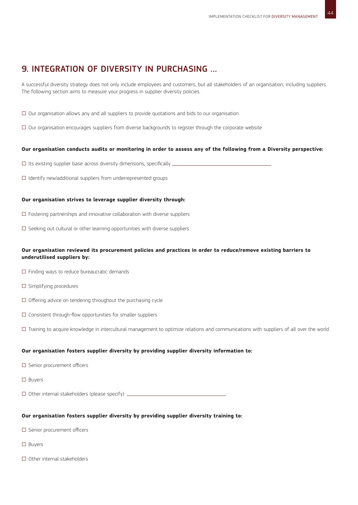### 9. INTEGRATION OF DIVERSITY IN PURCHASING …

A successful diversity strategy does not only include employees and customers, but all stakeholders of an organisation, including suppliers. The following section aims to measure your progress in supplier diversity policies.

- $\square$  Our organisation allows any and all suppliers to provide quotations and bids to our organisation
- □ Our organisation encourages suppliers from diverse backgrounds to register through the corporate website

### **Our organisation conducts audits or monitoring in order to assess any of the following from a Diversity perspective:**

- $\square$  Its existing supplier base across diversity dimensions, specifically  $\_\_$
- $\square$  Identify new/additional suppliers from underrepresented groups

### **Our organisation strives to leverage supplier diversity through:**

- $\square$  Fostering partnerships and innovative collaboration with diverse suppliers
- $\square$  Seeking out cultural or other learning opportunities with diverse suppliers

### **Our organisation reviewed its procurement policies and practices in order to reduce/remove existing barriers to underutilised suppliers by:**

- $\square$  Finding ways to reduce bureaucratic demands
- □ Simplifying procedures
- $\square$  Offering advice on tendering throughout the purchasing cycle
- $\square$  Consistent through-flow opportunities for smaller suppliers
- □ Training to acquire knowledge in intercultural management to optimize relations and communications with suppliers of all over the world

### **Our organisation fosters supplier diversity by providing supplier diversity information to:**

- □ Senior procurement officers
- □ Buyers

 $\square$  Other internal stakeholders (please specify):  $\square$ 

### **Our organisation fosters supplier diversity by providing supplier diversity training to:**

- □ Senior procurement officers
- □ Buyers
- □ Other internal stakeholders